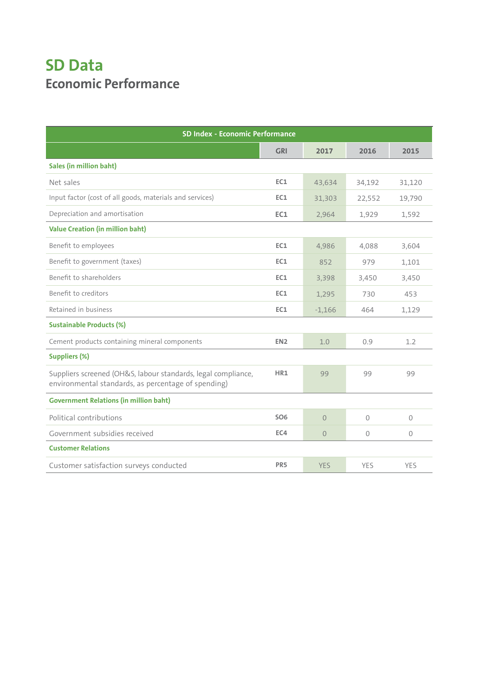## **SD Data Economic Performance**

| SD Index - Economic Performance                                                                                      |                 |                |               |                |  |
|----------------------------------------------------------------------------------------------------------------------|-----------------|----------------|---------------|----------------|--|
|                                                                                                                      | <b>GRI</b>      | 2017           | 2016          | 2015           |  |
| <b>Sales (in million baht)</b>                                                                                       |                 |                |               |                |  |
| Net sales                                                                                                            | EC1             | 43,634         | 34,192        | 31,120         |  |
| Input factor (cost of all goods, materials and services)                                                             | EC1             | 31,303         | 22,552        | 19,790         |  |
| Depreciation and amortisation                                                                                        | EC <sub>1</sub> | 2,964          | 1,929         | 1,592          |  |
| <b>Value Creation (in million baht)</b>                                                                              |                 |                |               |                |  |
| Benefit to employees                                                                                                 | EC1             | 4,986          | 4,088         | 3,604          |  |
| Benefit to government (taxes)                                                                                        | EC1             | 852            | 979           | 1,101          |  |
| Benefit to shareholders                                                                                              | EC <sub>1</sub> | 3,398          | 3,450         | 3,450          |  |
| Benefit to creditors                                                                                                 | EC1             | 1,295          | 730           | 453            |  |
| Retained in business                                                                                                 | EC <sub>1</sub> | $-1,166$       | 464           | 1,129          |  |
| <b>Sustainable Products (%)</b>                                                                                      |                 |                |               |                |  |
| Cement products containing mineral components                                                                        | EN <sub>2</sub> | 1.0            | 0.9           | 1.2            |  |
| <b>Suppliers (%)</b>                                                                                                 |                 |                |               |                |  |
| Suppliers screened (OH&S, labour standards, legal compliance,<br>environmental standards, as percentage of spending) | HR1             | 99             | 99            | 99             |  |
| <b>Government Relations (in million baht)</b>                                                                        |                 |                |               |                |  |
| Political contributions                                                                                              | <b>SO6</b>      | $\Omega$       | $\Omega$      | $\overline{0}$ |  |
| Government subsidies received                                                                                        | EC4             | $\overline{0}$ | $\mathcal{O}$ | 0              |  |
| <b>Customer Relations</b>                                                                                            |                 |                |               |                |  |
| Customer satisfaction surveys conducted                                                                              | PR <sub>5</sub> | <b>YES</b>     | YES           | YES            |  |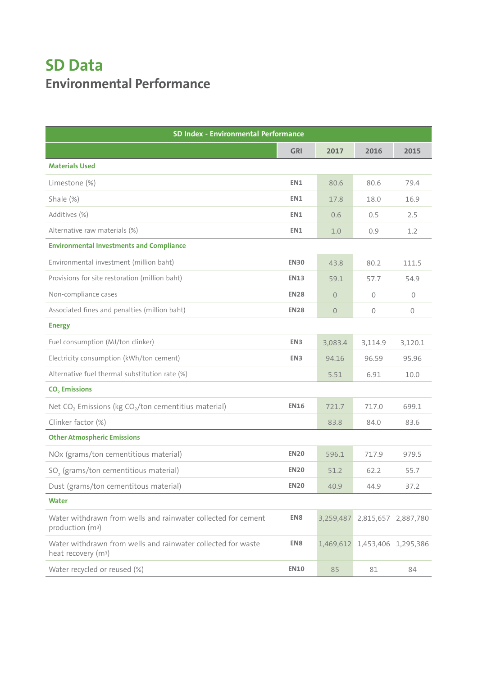## **SD Data Environmental Performance**

| <b>SD Index - Environmental Performance</b>                                                     |                 |                |                               |            |
|-------------------------------------------------------------------------------------------------|-----------------|----------------|-------------------------------|------------|
|                                                                                                 | <b>GRI</b>      | 2017           | 2016                          | 2015       |
| <b>Materials Used</b>                                                                           |                 |                |                               |            |
| Limestone (%)                                                                                   | EN1             | 80.6           | 80.6                          | 79.4       |
| Shale (%)                                                                                       | EN1             | 17.8           | 18.0                          | 16.9       |
| Additives (%)                                                                                   | EN1             | 0.6            | 0.5                           | 2.5        |
| Alternative raw materials (%)                                                                   | EN1             | 1.0            | 0.9                           | 1.2        |
| <b>Environmental Investments and Compliance</b>                                                 |                 |                |                               |            |
| Environmental investment (million baht)                                                         | <b>EN30</b>     | 43.8           | 80.2                          | 111.5      |
| Provisions for site restoration (million baht)                                                  | <b>EN13</b>     | 59.1           | 57.7                          | 54.9       |
| Non-compliance cases                                                                            | <b>EN28</b>     | $\overline{0}$ | 0                             | $\theta$   |
| Associated fines and penalties (million baht)                                                   | <b>EN28</b>     | $\mathbf 0$    | $\mathbf 0$                   | $\sqrt{0}$ |
| <b>Energy</b>                                                                                   |                 |                |                               |            |
| Fuel consumption (MJ/ton clinker)                                                               | EN <sub>3</sub> | 3,083.4        | 3,114.9                       | 3,120.1    |
| Electricity consumption (kWh/ton cement)                                                        | EN <sub>3</sub> | 94.16          | 96.59                         | 95.96      |
| Alternative fuel thermal substitution rate (%)                                                  |                 | 5.51           | 6.91                          | 10.0       |
| CO <sub>2</sub> Emissions                                                                       |                 |                |                               |            |
| Net CO <sub>2</sub> Emissions (kg CO <sub>2</sub> /ton cementitius material)                    | <b>EN16</b>     | 721.7          | 717.0                         | 699.1      |
| Clinker factor (%)                                                                              |                 | 83.8           | 84.0                          | 83.6       |
| <b>Other Atmospheric Emissions</b>                                                              |                 |                |                               |            |
| NOx (grams/ton cementitious material)                                                           | <b>EN20</b>     | 596.1          | 717.9                         | 979.5      |
| SO <sub>,</sub> (grams/ton cementitious material)                                               | <b>EN20</b>     | 51.2           | 62.2                          | 55.7       |
| Dust (grams/ton cementitous material)                                                           | <b>EN20</b>     | 40.9           | 44.9                          | 37.2       |
| Water                                                                                           |                 |                |                               |            |
| Water withdrawn from wells and rainwater collected for cement<br>production (m <sup>3</sup> )   | EN8             | 3,259,487      | 2,815,657 2,887,780           |            |
| Water withdrawn from wells and rainwater collected for waste<br>heat recovery (m <sup>3</sup> ) | EN8             |                | 1,469,612 1,453,406 1,295,386 |            |
| Water recycled or reused (%)                                                                    | <b>EN10</b>     | 85             | 81                            | 84         |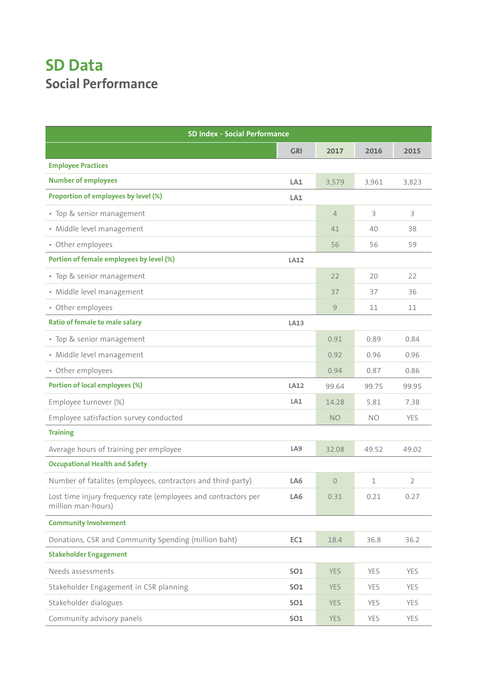## **SD Data Social Performance**

| <b>SD Index - Social Performance</b>                                                 |                 |                |           |                |  |
|--------------------------------------------------------------------------------------|-----------------|----------------|-----------|----------------|--|
|                                                                                      | <b>GRI</b>      | 2017           | 2016      | 2015           |  |
| <b>Employee Practices</b>                                                            |                 |                |           |                |  |
| <b>Number of employees</b>                                                           | LA1             | 3,579          | 3,961     | 3,823          |  |
| Proportion of employees by level (%)                                                 | LA1             |                |           |                |  |
| • Top & senior management                                                            |                 | $\overline{4}$ | 3         | 3              |  |
| · Middle level management                                                            |                 | 41             | 40        | 38             |  |
| • Other employees                                                                    |                 | 56             | 56        | 59             |  |
| Portion of female employees by level (%)                                             | <b>LA12</b>     |                |           |                |  |
| • Top & senior management                                                            |                 | 22             | 20        | 22             |  |
| · Middle level management                                                            |                 | 37             | 37        | 36             |  |
| • Other employees                                                                    |                 | 9              | 11        | 11             |  |
| Ratio of female to male salary                                                       | LA13            |                |           |                |  |
| • Top & senior management                                                            |                 | 0.91           | 0.89      | 0.84           |  |
| · Middle level management                                                            |                 | 0.92           | 0.96      | 0.96           |  |
| • Other employees                                                                    |                 | 0.94           | 0.87      | 0.86           |  |
| <b>Portion of local employees (%)</b>                                                | <b>LA12</b>     | 99.64          | 99.75     | 99.95          |  |
| Employee turnover (%)                                                                | LA <sub>1</sub> | 14.28          | 5.81      | 7.38           |  |
| Employee satisfaction survey conducted                                               |                 | <b>NO</b>      | <b>NO</b> | YES            |  |
| <b>Training</b>                                                                      |                 |                |           |                |  |
| Average hours of training per employee                                               | LA <sub>9</sub> | 32.08          | 49.52     | 49.02          |  |
| <b>Occupational Health and Safety</b>                                                |                 |                |           |                |  |
| Number of fatalites (employees, contractors and third-party)                         | LA6             | $\overline{0}$ | 1         | $\overline{2}$ |  |
| Lost time injury frequency rate (employees and contractors per<br>million man-hours) | LA6             | 0.31           | 0.21      | 0.27           |  |
| <b>Community Involvement</b>                                                         |                 |                |           |                |  |
| Donations, CSR and Community Spending (million baht)                                 | EC1             | 18.4           | 36.8      | 36.2           |  |
| <b>Stakeholder Engagement</b>                                                        |                 |                |           |                |  |
| Needs assessments                                                                    | SO <sub>1</sub> | <b>YES</b>     | YES       | YES            |  |
| Stakeholder Engagement in CSR planning                                               | SO <sub>1</sub> | <b>YES</b>     | YES       | <b>YES</b>     |  |
| Stakeholder dialogues                                                                | <b>SO1</b>      | <b>YES</b>     | YES       | YES            |  |
| Community advisory panels                                                            | <b>SO1</b>      | <b>YES</b>     | YES       | YES            |  |